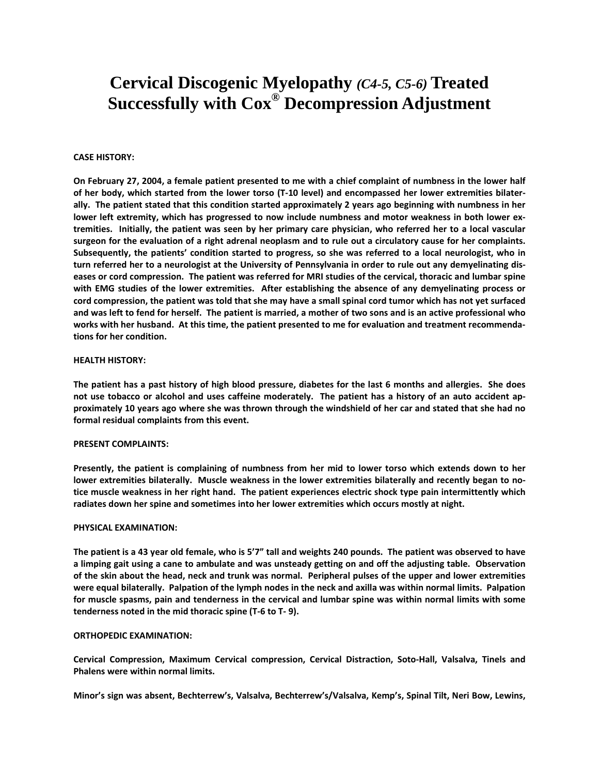# **Cervical Discogenic Myelopathy** *(C4-5, C5-6)* **Treated Successfully with Cox® Decompression Adjustment**

## **CASE HISTORY:**

On February 27, 2004, a female patient presented to me with a chief complaint of numbness in the lower half of her body, which started from the lower torso (T-10 level) and encompassed her lower extremities bilaterally. The patient stated that this condition started approximately 2 years ago beginning with numbness in her lower left extremity, which has progressed to now include numbness and motor weakness in both lower extremities. Initially, the patient was seen by her primary care physician, who referred her to a local vascular surgeon for the evaluation of a right adrenal neoplasm and to rule out a circulatory cause for her complaints. Subsequently, the patients' condition started to progress, so she was referred to a local neurologist, who in turn referred her to a neurologist at the University of Pennsylvania in order to rule out any demyelinating diseases or cord compression. The patient was referred for MRI studies of the cervical, thoracic and lumbar spine with EMG studies of the lower extremities. After establishing the absence of any demyelinating process or cord compression, the patient was told that she may have a small spinal cord tumor which has not yet surfaced and was left to fend for herself. The patient is married, a mother of two sons and is an active professional who works with her husband. At this time, the patient presented to me for evaluation and treatment recommenda**tions for her condition.** 

#### **HEALTH HISTORY:**

The patient has a past history of high blood pressure, diabetes for the last 6 months and allergies. She does not use tobacco or alcohol and uses caffeine moderately. The patient has a history of an auto accident approximately 10 years ago where she was thrown through the windshield of her car and stated that she had no **formal residual complaints from this event.** 

#### **PRESENT COMPLAINTS:**

Presently, the patient is complaining of numbness from her mid to lower torso which extends down to her lower extremities bilaterally. Muscle weakness in the lower extremities bilaterally and recently began to notice muscle weakness in her right hand. The patient experiences electric shock type pain intermittently which **radiates down her spine and sometimes into her lower extremities which occurs mostly at night.**

#### **PHYSICAL EXAMINATION:**

The patient is a 43 year old female, who is 5'7" tall and weights 240 pounds. The patient was observed to have a limping gait using a cane to ambulate and was unsteady getting on and off the adjusting table. Observation of the skin about the head, neck and trunk was normal. Peripheral pulses of the upper and lower extremities were equal bilaterally. Palpation of the lymph nodes in the neck and axilla was within normal limits. Palpation for muscle spasms, pain and tenderness in the cervical and lumbar spine was within normal limits with some **tenderness noted in the mid thoracic spine (T‐6 to T‐ 9).** 

#### **ORTHOPEDIC EXAMINATION:**

**Cervical Compression, Maximum Cervical compression, Cervical Distraction, Soto‐Hall, Valsalva, Tinels and Phalens were within normal limits.**

**Minor's sign was absent, Bechterrew's, Valsalva, Bechterrew's/Valsalva, Kemp's, Spinal Tilt, Neri Bow, Lewins,**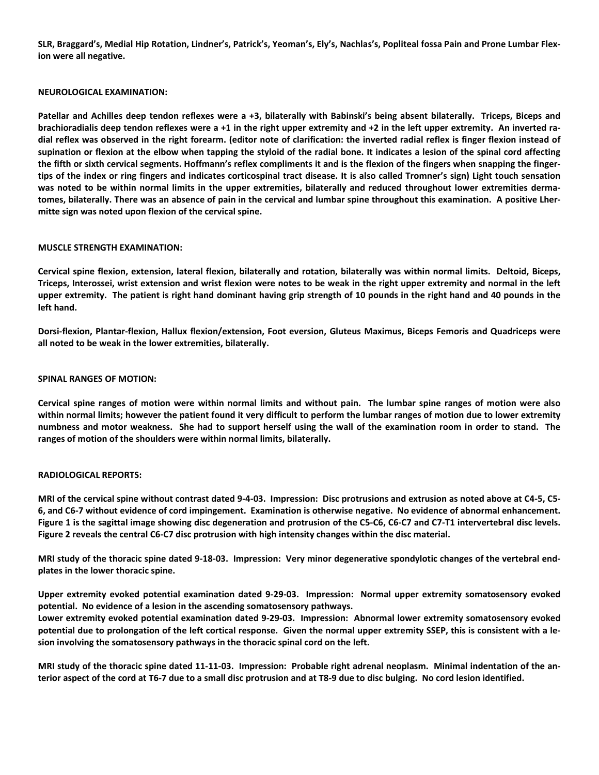SLR, Braggard's, Medial Hip Rotation, Lindner's, Patrick's, Yeoman's, Ely's, Nachlas's, Popliteal fossa Pain and Prone Lumbar Flex**ion were all negative.** 

## **NEUROLOGICAL EXAMINATION:**

Patellar and Achilles deep tendon reflexes were a +3, bilaterally with Babinski's being absent bilaterally. Triceps, Biceps and brachioradialis deep tendon reflexes were a +1 in the right upper extremity and +2 in the left upper extremity. An inverted radial reflex was observed in the right forearm. (editor note of clarification: the inverted radial reflex is finger flexion instead of supination or flexion at the elbow when tapping the styloid of the radial bone. It indicates a lesion of the spinal cord affecting the fifth or sixth cervical segments. Hoffmann's reflex compliments it and is the flexion of the fingers when snapping the fingertips of the index or ring fingers and indicates corticospinal tract disease. It is also called Tromner's sign) Light touch sensation was noted to be within normal limits in the upper extremities, bilaterally and reduced throughout lower extremities dermatomes, bilaterally. There was an absence of pain in the cervical and lumbar spine throughout this examination. A positive Lher**mitte sign was noted upon flexion of the cervical spine.**

# **MUSCLE STRENGTH EXAMINATION:**

Cervical spine flexion, extension, lateral flexion, bilaterally and rotation, bilaterally was within normal limits. Deltoid, Biceps, Triceps, Interossei, wrist extension and wrist flexion were notes to be weak in the right upper extremity and normal in the left upper extremity. The patient is right hand dominant having grip strength of 10 pounds in the right hand and 40 pounds in the **left hand.** 

Dorsi-flexion, Plantar-flexion, Hallux flexion/extension, Foot eversion, Gluteus Maximus, Biceps Femoris and Quadriceps were **all noted to be weak in the lower extremities, bilaterally.** 

# **SPINAL RANGES OF MOTION:**

Cervical spine ranges of motion were within normal limits and without pain. The lumbar spine ranges of motion were also within normal limits; however the patient found it very difficult to perform the lumbar ranges of motion due to lower extremity numbness and motor weakness. She had to support herself using the wall of the examination room in order to stand. The **ranges of motion of the shoulders were within normal limits, bilaterally.** 

# **RADIOLOGICAL REPORTS:**

MRI of the cervical spine without contrast dated 9-4-03. Impression: Disc protrusions and extrusion as noted above at C4-5, C5-6, and C6-7 without evidence of cord impingement. Examination is otherwise negative. No evidence of abnormal enhancement. Figure 1 is the sagittal image showing disc degeneration and protrusion of the C5-C6, C6-C7 and C7-T1 intervertebral disc levels. Figure 2 reveals the central C6-C7 disc protrusion with high intensity changes within the disc material.

MRI study of the thoracic spine dated 9-18-03. Impression: Very minor degenerative spondylotic changes of the vertebral end**plates in the lower thoracic spine.**

Upper extremity evoked potential examination dated 9-29-03. Impression: Normal upper extremity somatosensory evoked **potential. No evidence of a lesion in the ascending somatosensory pathways.**

Lower extremity evoked potential examination dated 9-29-03. Impression: Abnormal lower extremity somatosensory evoked potential due to prolongation of the left cortical response. Given the normal upper extremity SSEP, this is consistent with a le**sion involving the somatosensory pathways in the thoracic spinal cord on the left.**

MRI study of the thoracic spine dated 11-11-03. Impression: Probable right adrenal neoplasm. Minimal indentation of the anterior aspect of the cord at T6-7 due to a small disc protrusion and at T8-9 due to disc bulging. No cord lesion identified.